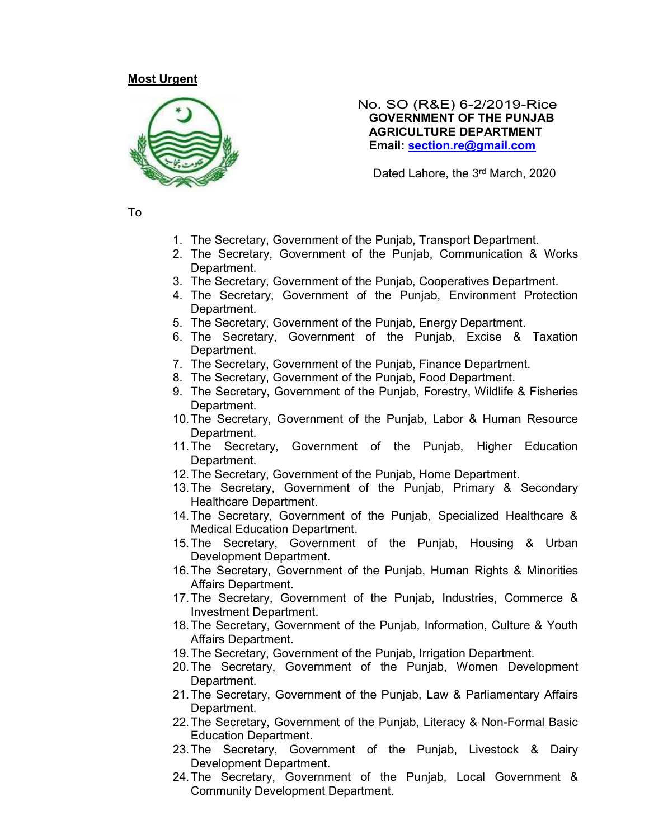## Most Urgent



#### No. SO (R&E) 6-2/2019-Rice GOVERNMENT OF THE PUNJAB AGRICULTURE DEPARTMENT Email: section.re@gmail.com

Dated Lahore, the 3rd March, 2020

To

- 1. The Secretary, Government of the Punjab, Transport Department.
- 2. The Secretary, Government of the Punjab, Communication & Works Department.
- 3. The Secretary, Government of the Punjab, Cooperatives Department.
- 4. The Secretary, Government of the Punjab, Environment Protection Department.
- 5. The Secretary, Government of the Punjab, Energy Department.
- 6. The Secretary, Government of the Punjab, Excise & Taxation Department.
- 7. The Secretary, Government of the Punjab, Finance Department.
- 8. The Secretary, Government of the Punjab, Food Department.
- 9. The Secretary, Government of the Punjab, Forestry, Wildlife & Fisheries Department.
- 10. The Secretary, Government of the Punjab, Labor & Human Resource Department.
- 11. The Secretary, Government of the Punjab, Higher Education Department.
- 12. The Secretary, Government of the Punjab, Home Department.
- 13. The Secretary, Government of the Punjab, Primary & Secondary Healthcare Department.
- 14. The Secretary, Government of the Punjab, Specialized Healthcare & Medical Education Department.
- 15. The Secretary, Government of the Punjab, Housing & Urban Development Department.
- 16. The Secretary, Government of the Punjab, Human Rights & Minorities Affairs Department.
- 17. The Secretary, Government of the Punjab, Industries, Commerce & Investment Department.
- 18. The Secretary, Government of the Punjab, Information, Culture & Youth Affairs Department.
- 19. The Secretary, Government of the Punjab, Irrigation Department.
- 20. The Secretary, Government of the Punjab, Women Development Department.
- 21. The Secretary, Government of the Punjab, Law & Parliamentary Affairs Department.
- 22. The Secretary, Government of the Punjab, Literacy & Non-Formal Basic Education Department.
- 23. The Secretary, Government of the Punjab, Livestock & Dairy Development Department.
- 24. The Secretary, Government of the Punjab, Local Government & Community Development Department.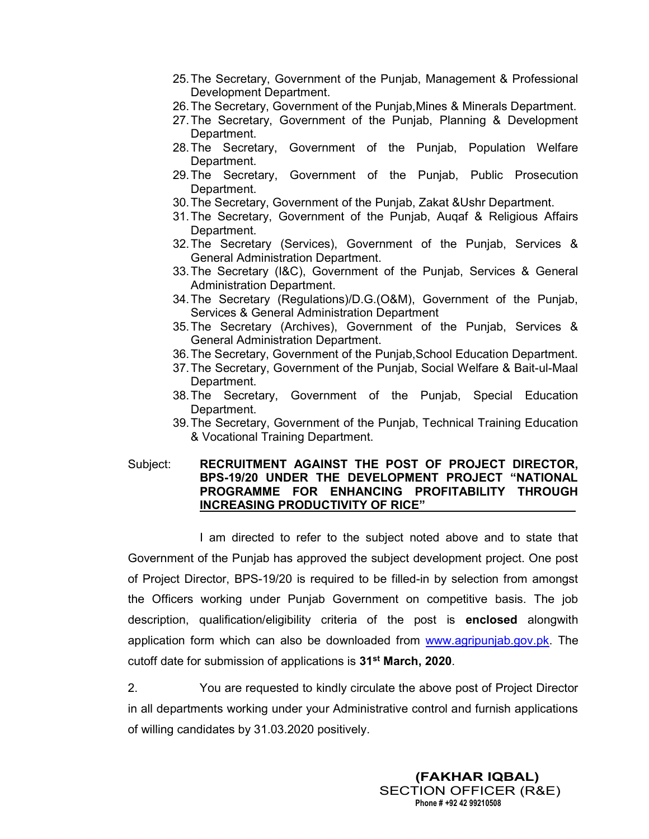- 25. The Secretary, Government of the Punjab, Management & Professional Development Department.
- 26. The Secretary, Government of the Punjab,Mines & Minerals Department.
- 27. The Secretary, Government of the Punjab, Planning & Development Department.
- 28. The Secretary, Government of the Punjab, Population Welfare Department.
- 29. The Secretary, Government of the Punjab, Public Prosecution Department.
- 30. The Secretary, Government of the Punjab, Zakat &Ushr Department.
- 31. The Secretary, Government of the Punjab, Auqaf & Religious Affairs Department.
- 32. The Secretary (Services), Government of the Punjab, Services & General Administration Department.
- 33. The Secretary (I&C), Government of the Punjab, Services & General Administration Department.
- 34. The Secretary (Regulations)/D.G.(O&M), Government of the Punjab, Services & General Administration Department
- 35. The Secretary (Archives), Government of the Punjab, Services & General Administration Department.
- 36. The Secretary, Government of the Punjab,School Education Department.
- 37. The Secretary, Government of the Punjab, Social Welfare & Bait-ul-Maal Department.
- 38. The Secretary, Government of the Punjab, Special Education Department.
- 39. The Secretary, Government of the Punjab, Technical Training Education & Vocational Training Department.

### Subject: RECRUITMENT AGAINST THE POST OF PROJECT DIRECTOR, BPS-19/20 UNDER THE DEVELOPMENT PROJECT "NATIONAL PROGRAMME FOR ENHANCING PROFITABILITY THROUGH INCREASING PRODUCTIVITY OF RICE"

 I am directed to refer to the subject noted above and to state that Government of the Punjab has approved the subject development project. One post of Project Director, BPS-19/20 is required to be filled-in by selection from amongst the Officers working under Punjab Government on competitive basis. The job description, qualification/eligibility criteria of the post is enclosed alongwith application form which can also be downloaded from www.agripunjab.gov.pk. The cutoff date for submission of applications is 31<sup>st</sup> March, 2020.

2. You are requested to kindly circulate the above post of Project Director in all departments working under your Administrative control and furnish applications of willing candidates by 31.03.2020 positively.